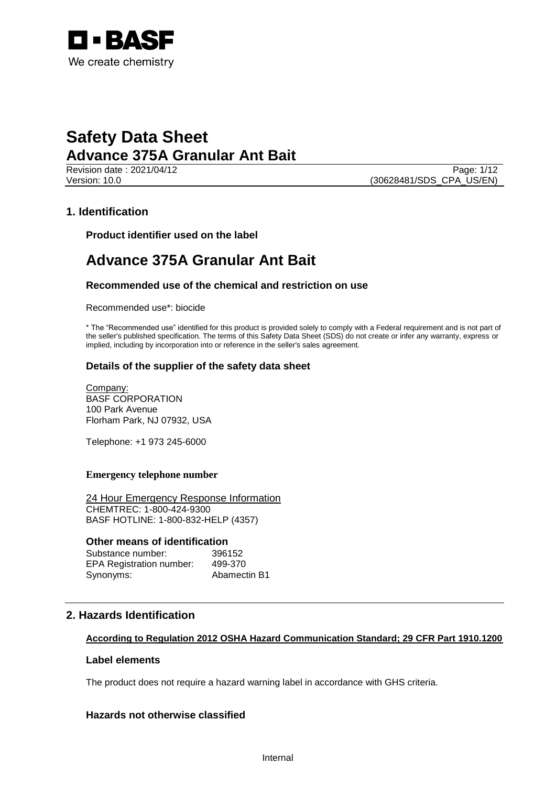

**Revision date : 2021/04/12** Page: 1/12 Version: 10.0 (30628481/SDS\_CPA\_US/EN)

## **1. Identification**

**Product identifier used on the label**

## **Advance 375A Granular Ant Bait**

## **Recommended use of the chemical and restriction on use**

Recommended use\*: biocide

\* The "Recommended use" identified for this product is provided solely to comply with a Federal requirement and is not part of the seller's published specification. The terms of this Safety Data Sheet (SDS) do not create or infer any warranty, express or implied, including by incorporation into or reference in the seller's sales agreement.

## **Details of the supplier of the safety data sheet**

Company: BASF CORPORATION 100 Park Avenue Florham Park, NJ 07932, USA

Telephone: +1 973 245-6000

#### **Emergency telephone number**

24 Hour Emergency Response Information CHEMTREC: 1-800-424-9300 BASF HOTLINE: 1-800-832-HELP (4357)

#### **Other means of identification**

| Substance number:               | 396152       |
|---------------------------------|--------------|
| <b>EPA Registration number:</b> | 499-370      |
| Synonyms:                       | Abamectin B1 |

## **2. Hazards Identification**

## **According to Regulation 2012 OSHA Hazard Communication Standard; 29 CFR Part 1910.1200**

#### **Label elements**

The product does not require a hazard warning label in accordance with GHS criteria.

## **Hazards not otherwise classified**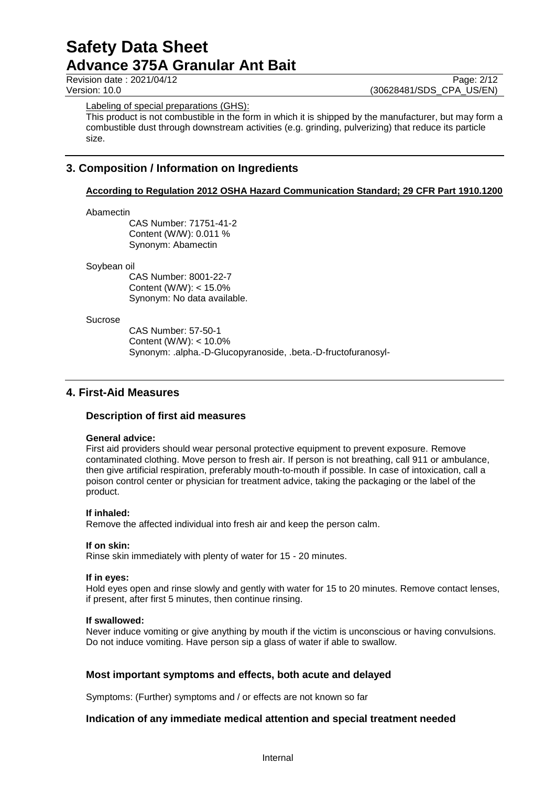Revision date : 2021/04/12 Page: 2/12<br>
Version: 10.0 (30628481/SDS CPA US/EN) (30628481/SDS\_CPA\_US/EN)

Labeling of special preparations (GHS):

This product is not combustible in the form in which it is shipped by the manufacturer, but may form a combustible dust through downstream activities (e.g. grinding, pulverizing) that reduce its particle size.

## **3. Composition / Information on Ingredients**

## **According to Regulation 2012 OSHA Hazard Communication Standard; 29 CFR Part 1910.1200**

#### Abamectin

CAS Number: 71751-41-2 Content (W/W): 0.011 % Synonym: Abamectin

#### Soybean oil

CAS Number: 8001-22-7 Content (W/W): < 15.0% Synonym: No data available.

#### Sucrose

CAS Number: 57-50-1 Content (W/W): < 10.0% Synonym: .alpha.-D-Glucopyranoside, .beta.-D-fructofuranosyl-

## **4. First-Aid Measures**

## **Description of first aid measures**

## **General advice:**

First aid providers should wear personal protective equipment to prevent exposure. Remove contaminated clothing. Move person to fresh air. If person is not breathing, call 911 or ambulance, then give artificial respiration, preferably mouth-to-mouth if possible. In case of intoxication, call a poison control center or physician for treatment advice, taking the packaging or the label of the product.

## **If inhaled:**

Remove the affected individual into fresh air and keep the person calm.

## **If on skin:**

Rinse skin immediately with plenty of water for 15 - 20 minutes.

#### **If in eyes:**

Hold eyes open and rinse slowly and gently with water for 15 to 20 minutes. Remove contact lenses, if present, after first 5 minutes, then continue rinsing.

## **If swallowed:**

Never induce vomiting or give anything by mouth if the victim is unconscious or having convulsions. Do not induce vomiting. Have person sip a glass of water if able to swallow.

## **Most important symptoms and effects, both acute and delayed**

Symptoms: (Further) symptoms and / or effects are not known so far

## **Indication of any immediate medical attention and special treatment needed**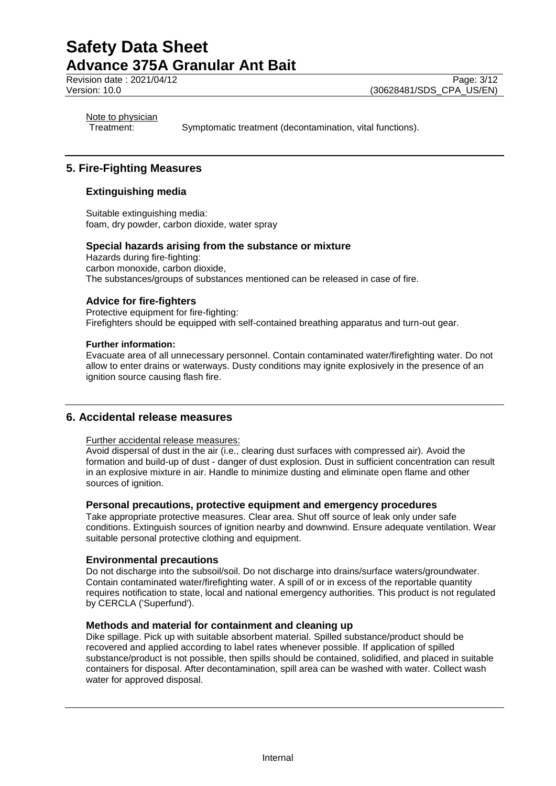Revision date : 2021/04/12 Page: 3/12<br>
Version: 10.0 (30628481/SDS CPA US/EN)

(30628481/SDS\_CPA\_US/EN)

Note to physician

Treatment: Symptomatic treatment (decontamination, vital functions).

## **5. Fire-Fighting Measures**

## **Extinguishing media**

Suitable extinguishing media: foam, dry powder, carbon dioxide, water spray

#### **Special hazards arising from the substance or mixture**

Hazards during fire-fighting: carbon monoxide, carbon dioxide, The substances/groups of substances mentioned can be released in case of fire.

## **Advice for fire-fighters**

Protective equipment for fire-fighting: Firefighters should be equipped with self-contained breathing apparatus and turn-out gear.

#### **Further information:**

Evacuate area of all unnecessary personnel. Contain contaminated water/firefighting water. Do not allow to enter drains or waterways. Dusty conditions may ignite explosively in the presence of an ignition source causing flash fire.

## **6. Accidental release measures**

#### Further accidental release measures:

Avoid dispersal of dust in the air (i.e., clearing dust surfaces with compressed air). Avoid the formation and build-up of dust - danger of dust explosion. Dust in sufficient concentration can result in an explosive mixture in air. Handle to minimize dusting and eliminate open flame and other sources of ignition.

#### **Personal precautions, protective equipment and emergency procedures**

Take appropriate protective measures. Clear area. Shut off source of leak only under safe conditions. Extinguish sources of ignition nearby and downwind. Ensure adequate ventilation. Wear suitable personal protective clothing and equipment.

#### **Environmental precautions**

Do not discharge into the subsoil/soil. Do not discharge into drains/surface waters/groundwater. Contain contaminated water/firefighting water. A spill of or in excess of the reportable quantity requires notification to state, local and national emergency authorities. This product is not regulated by CERCLA ('Superfund').

## **Methods and material for containment and cleaning up**

Dike spillage. Pick up with suitable absorbent material. Spilled substance/product should be recovered and applied according to label rates whenever possible. If application of spilled substance/product is not possible, then spills should be contained, solidified, and placed in suitable containers for disposal. After decontamination, spill area can be washed with water. Collect wash water for approved disposal.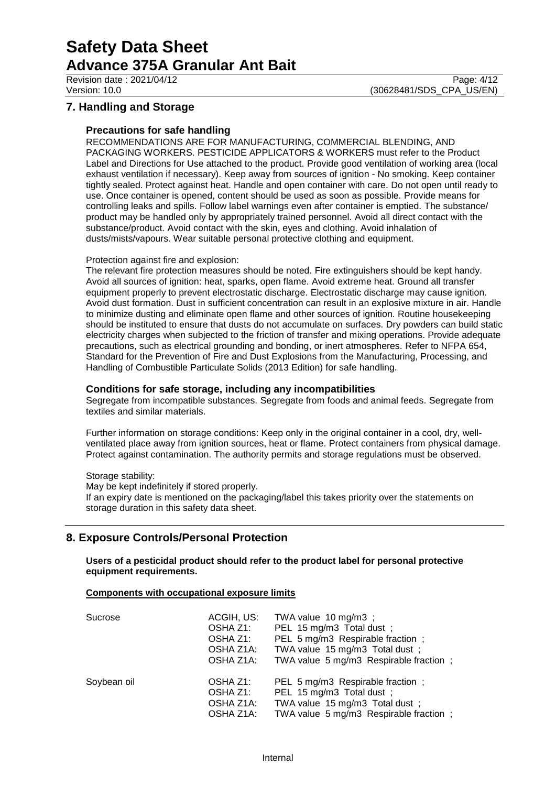## **7. Handling and Storage**

#### **Precautions for safe handling**

RECOMMENDATIONS ARE FOR MANUFACTURING, COMMERCIAL BLENDING, AND PACKAGING WORKERS. PESTICIDE APPLICATORS & WORKERS must refer to the Product Label and Directions for Use attached to the product. Provide good ventilation of working area (local exhaust ventilation if necessary). Keep away from sources of ignition - No smoking. Keep container tightly sealed. Protect against heat. Handle and open container with care. Do not open until ready to use. Once container is opened, content should be used as soon as possible. Provide means for controlling leaks and spills. Follow label warnings even after container is emptied. The substance/ product may be handled only by appropriately trained personnel. Avoid all direct contact with the substance/product. Avoid contact with the skin, eyes and clothing. Avoid inhalation of dusts/mists/vapours. Wear suitable personal protective clothing and equipment.

#### Protection against fire and explosion:

The relevant fire protection measures should be noted. Fire extinguishers should be kept handy. Avoid all sources of ignition: heat, sparks, open flame. Avoid extreme heat. Ground all transfer equipment properly to prevent electrostatic discharge. Electrostatic discharge may cause ignition. Avoid dust formation. Dust in sufficient concentration can result in an explosive mixture in air. Handle to minimize dusting and eliminate open flame and other sources of ignition. Routine housekeeping should be instituted to ensure that dusts do not accumulate on surfaces. Dry powders can build static electricity charges when subjected to the friction of transfer and mixing operations. Provide adequate precautions, such as electrical grounding and bonding, or inert atmospheres. Refer to NFPA 654, Standard for the Prevention of Fire and Dust Explosions from the Manufacturing, Processing, and Handling of Combustible Particulate Solids (2013 Edition) for safe handling.

#### **Conditions for safe storage, including any incompatibilities**

Segregate from incompatible substances. Segregate from foods and animal feeds. Segregate from textiles and similar materials.

Further information on storage conditions: Keep only in the original container in a cool, dry, wellventilated place away from ignition sources, heat or flame. Protect containers from physical damage. Protect against contamination. The authority permits and storage regulations must be observed.

Storage stability:

May be kept indefinitely if stored properly. If an expiry date is mentioned on the packaging/label this takes priority over the statements on storage duration in this safety data sheet.

## **8. Exposure Controls/Personal Protection**

**Users of a pesticidal product should refer to the product label for personal protective equipment requirements.**

#### **Components with occupational exposure limits**

| Sucrose     | ACGIH, US:<br>OSHA Z1:<br>OSHA Z1:<br>OSHA Z1A:<br>OSHA Z1A: | TWA value 10 mg/m3;<br>PEL 15 mg/m3 Total dust ;<br>PEL 5 mg/m3 Respirable fraction;<br>TWA value 15 mg/m3 Total dust;<br>TWA value 5 mg/m3 Respirable fraction; |
|-------------|--------------------------------------------------------------|------------------------------------------------------------------------------------------------------------------------------------------------------------------|
| Soybean oil | OSHA Z1:<br>OSHA Z1:<br>OSHA Z1A:<br>OSHA Z1A:               | PEL 5 mg/m3 Respirable fraction;<br>PEL 15 mg/m3 Total dust;<br>TWA value 15 mg/m3 Total dust;<br>TWA value 5 mg/m3 Respirable fraction;                         |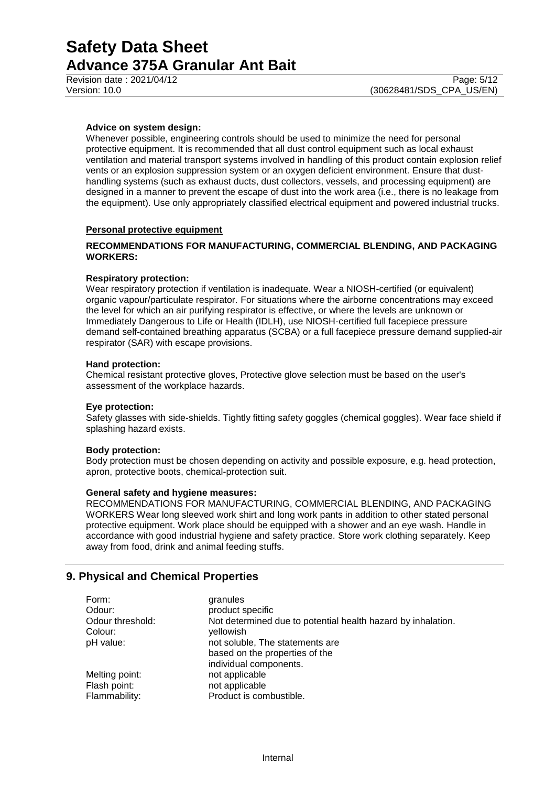#### **Advice on system design:**

Whenever possible, engineering controls should be used to minimize the need for personal protective equipment. It is recommended that all dust control equipment such as local exhaust ventilation and material transport systems involved in handling of this product contain explosion relief vents or an explosion suppression system or an oxygen deficient environment. Ensure that dusthandling systems (such as exhaust ducts, dust collectors, vessels, and processing equipment) are designed in a manner to prevent the escape of dust into the work area (i.e., there is no leakage from the equipment). Use only appropriately classified electrical equipment and powered industrial trucks.

#### **Personal protective equipment**

#### **RECOMMENDATIONS FOR MANUFACTURING, COMMERCIAL BLENDING, AND PACKAGING WORKERS:**

#### **Respiratory protection:**

Wear respiratory protection if ventilation is inadequate. Wear a NIOSH-certified (or equivalent) organic vapour/particulate respirator. For situations where the airborne concentrations may exceed the level for which an air purifying respirator is effective, or where the levels are unknown or Immediately Dangerous to Life or Health (IDLH), use NIOSH-certified full facepiece pressure demand self-contained breathing apparatus (SCBA) or a full facepiece pressure demand supplied-air respirator (SAR) with escape provisions.

#### **Hand protection:**

Chemical resistant protective gloves, Protective glove selection must be based on the user's assessment of the workplace hazards.

#### **Eye protection:**

Safety glasses with side-shields. Tightly fitting safety goggles (chemical goggles). Wear face shield if splashing hazard exists.

#### **Body protection:**

Body protection must be chosen depending on activity and possible exposure, e.g. head protection, apron, protective boots, chemical-protection suit.

#### **General safety and hygiene measures:**

RECOMMENDATIONS FOR MANUFACTURING, COMMERCIAL BLENDING, AND PACKAGING WORKERS Wear long sleeved work shirt and long work pants in addition to other stated personal protective equipment. Work place should be equipped with a shower and an eye wash. Handle in accordance with good industrial hygiene and safety practice. Store work clothing separately. Keep away from food, drink and animal feeding stuffs.

## **9. Physical and Chemical Properties**

| Form:            | granules                                                     |
|------------------|--------------------------------------------------------------|
| Odour:           | product specific                                             |
| Odour threshold: | Not determined due to potential health hazard by inhalation. |
| Colour:          | yellowish                                                    |
| pH value:        | not soluble, The statements are                              |
|                  | based on the properties of the                               |
|                  | individual components.                                       |
| Melting point:   | not applicable                                               |
| Flash point:     | not applicable                                               |
| Flammability:    | Product is combustible.                                      |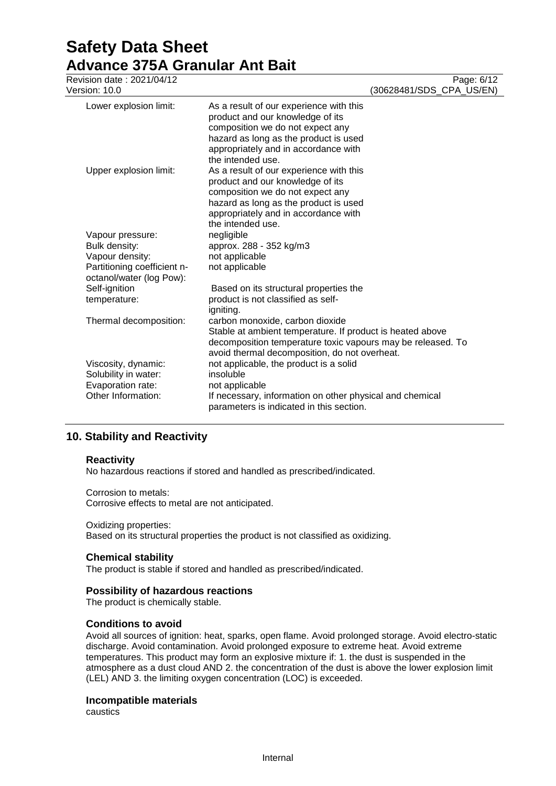# **Safety Data Sheet Advance 375A Granular Ant Bait**<br>Revision date : 2021/04/12

| Revision date: 2021/04/12                                                              |                                                                                                                                                                                                                       |                          | Page: 6/12 |
|----------------------------------------------------------------------------------------|-----------------------------------------------------------------------------------------------------------------------------------------------------------------------------------------------------------------------|--------------------------|------------|
| Version: 10.0                                                                          |                                                                                                                                                                                                                       | (30628481/SDS_CPA_US/EN) |            |
| Lower explosion limit:                                                                 | As a result of our experience with this<br>product and our knowledge of its<br>composition we do not expect any<br>hazard as long as the product is used<br>appropriately and in accordance with<br>the intended use. |                          |            |
| Upper explosion limit:                                                                 | As a result of our experience with this<br>product and our knowledge of its<br>composition we do not expect any<br>hazard as long as the product is used<br>appropriately and in accordance with<br>the intended use. |                          |            |
| Vapour pressure:                                                                       | negligible                                                                                                                                                                                                            |                          |            |
| Bulk density:                                                                          | approx. 288 - 352 kg/m3                                                                                                                                                                                               |                          |            |
| Vapour density:                                                                        | not applicable                                                                                                                                                                                                        |                          |            |
| Partitioning coefficient n-<br>octanol/water (log Pow):                                | not applicable                                                                                                                                                                                                        |                          |            |
| Self-ignition                                                                          | Based on its structural properties the                                                                                                                                                                                |                          |            |
| temperature:                                                                           | product is not classified as self-<br>igniting.                                                                                                                                                                       |                          |            |
| Thermal decomposition:                                                                 | carbon monoxide, carbon dioxide<br>Stable at ambient temperature. If product is heated above<br>decomposition temperature toxic vapours may be released. To<br>avoid thermal decomposition, do not overheat.          |                          |            |
| Viscosity, dynamic:<br>Solubility in water:<br>Evaporation rate:<br>Other Information: | not applicable, the product is a solid<br>insoluble<br>not applicable<br>If necessary, information on other physical and chemical<br>parameters is indicated in this section.                                         |                          |            |

## **10. Stability and Reactivity**

#### **Reactivity**

No hazardous reactions if stored and handled as prescribed/indicated.

#### Corrosion to metals:

Corrosive effects to metal are not anticipated.

## Oxidizing properties:

Based on its structural properties the product is not classified as oxidizing.

#### **Chemical stability**

The product is stable if stored and handled as prescribed/indicated.

### **Possibility of hazardous reactions**

The product is chemically stable.

#### **Conditions to avoid**

Avoid all sources of ignition: heat, sparks, open flame. Avoid prolonged storage. Avoid electro-static discharge. Avoid contamination. Avoid prolonged exposure to extreme heat. Avoid extreme temperatures. This product may form an explosive mixture if: 1. the dust is suspended in the atmosphere as a dust cloud AND 2. the concentration of the dust is above the lower explosion limit (LEL) AND 3. the limiting oxygen concentration (LOC) is exceeded.

#### **Incompatible materials**

caustics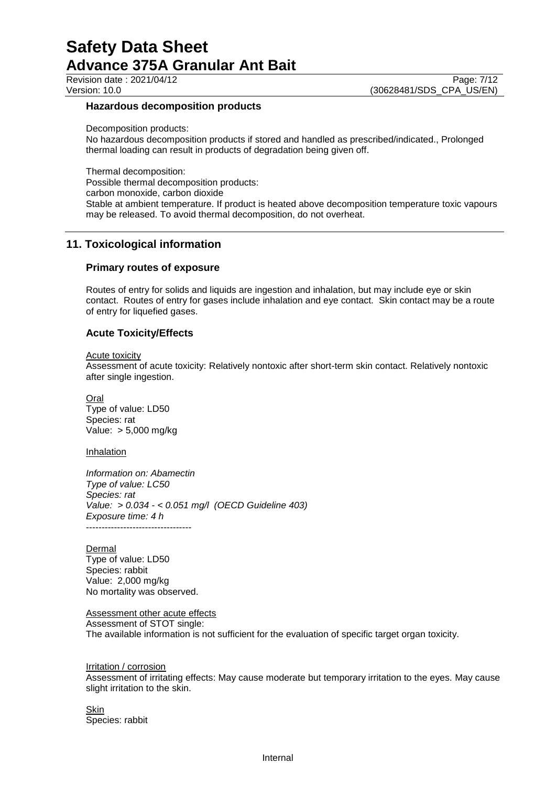Revision date : 2021/04/12 Page: 7/12<br>Version: 10.0 (30628481/SDS CPA US/EN) (30628481/SDS CPA US/EN)

#### **Hazardous decomposition products**

Decomposition products:

No hazardous decomposition products if stored and handled as prescribed/indicated., Prolonged thermal loading can result in products of degradation being given off.

Thermal decomposition:

Possible thermal decomposition products:

carbon monoxide, carbon dioxide

Stable at ambient temperature. If product is heated above decomposition temperature toxic vapours may be released. To avoid thermal decomposition, do not overheat.

## **11. Toxicological information**

#### **Primary routes of exposure**

Routes of entry for solids and liquids are ingestion and inhalation, but may include eye or skin contact. Routes of entry for gases include inhalation and eye contact. Skin contact may be a route of entry for liquefied gases.

#### **Acute Toxicity/Effects**

#### Acute toxicity

Assessment of acute toxicity: Relatively nontoxic after short-term skin contact. Relatively nontoxic after single ingestion.

**Oral** Type of value: LD50 Species: rat Value: > 5,000 mg/kg

#### Inhalation

*Information on: Abamectin Type of value: LC50 Species: rat Value: > 0.034 - < 0.051 mg/l (OECD Guideline 403) Exposure time: 4 h* ----------------------------------

#### Dermal

Type of value: LD50 Species: rabbit Value: 2,000 mg/kg No mortality was observed.

Assessment other acute effects

Assessment of STOT single:

The available information is not sufficient for the evaluation of specific target organ toxicity.

#### Irritation / corrosion

Assessment of irritating effects: May cause moderate but temporary irritation to the eyes. May cause slight irritation to the skin.

Skin Species: rabbit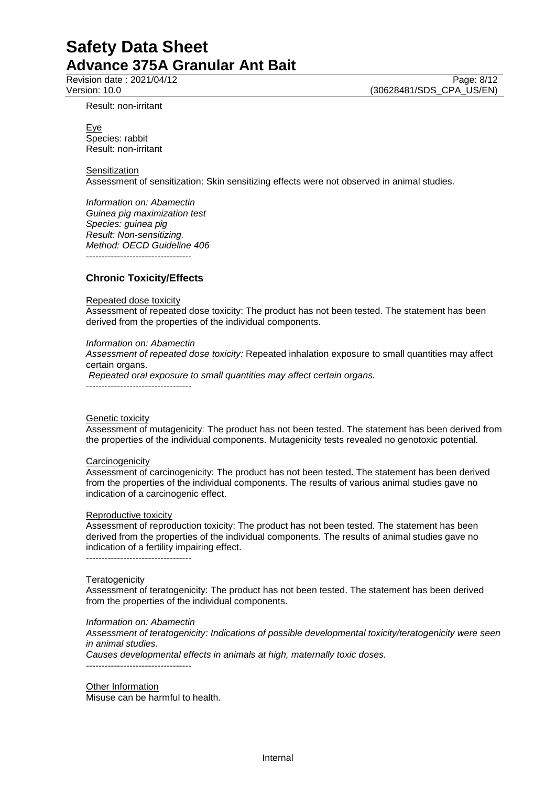Result: non-irritant

Revision date : 2021/04/12 Page: 8/12<br>
Version: 10.0 (30628481/SDS CPA US/EN) (30628481/SDS\_CPA\_US/EN)

Eye Species: rabbit Result: non-irritant

**Sensitization** 

Assessment of sensitization: Skin sensitizing effects were not observed in animal studies.

*Information on: Abamectin Guinea pig maximization test Species: guinea pig Result: Non-sensitizing. Method: OECD Guideline 406* ----------------------------------

**Chronic Toxicity/Effects**

#### Repeated dose toxicity

Assessment of repeated dose toxicity: The product has not been tested. The statement has been derived from the properties of the individual components.

#### *Information on: Abamectin*

*Assessment of repeated dose toxicity:* Repeated inhalation exposure to small quantities may affect certain organs.

*Repeated oral exposure to small quantities may affect certain organs.*

----------------------------------

#### Genetic toxicity

Assessment of mutagenicity: The product has not been tested. The statement has been derived from the properties of the individual components. Mutagenicity tests revealed no genotoxic potential.

#### **Carcinogenicity**

Assessment of carcinogenicity: The product has not been tested. The statement has been derived from the properties of the individual components. The results of various animal studies gave no indication of a carcinogenic effect.

#### Reproductive toxicity

Assessment of reproduction toxicity: The product has not been tested. The statement has been derived from the properties of the individual components. The results of animal studies gave no indication of a fertility impairing effect.

----------------------------------

#### **Teratogenicity**

Assessment of teratogenicity: The product has not been tested. The statement has been derived from the properties of the individual components.

#### *Information on: Abamectin*

*Assessment of teratogenicity: Indications of possible developmental toxicity/teratogenicity were seen in animal studies.*

*Causes developmental effects in animals at high, maternally toxic doses.* ----------------------------------

Other Information Misuse can be harmful to health.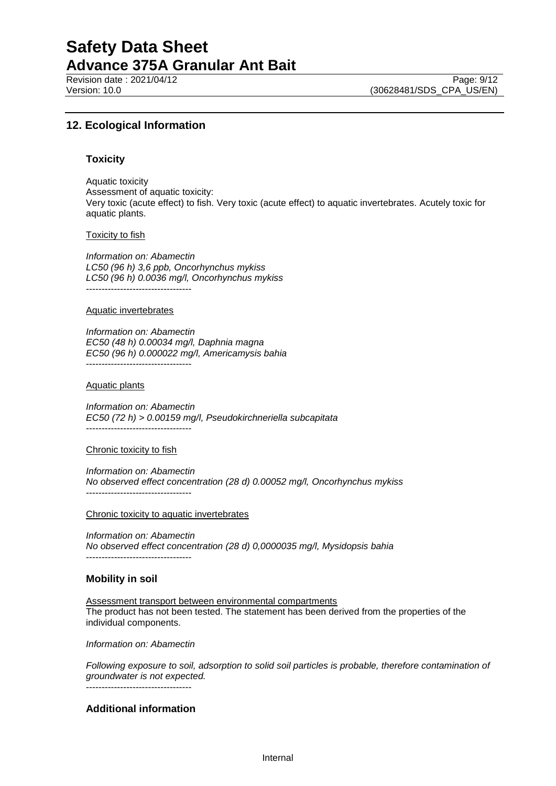Revision date : 2021/04/12 Page: 9/12<br>
Version: 10.0 (30628481/SDS CPA US/EN)

(30628481/SDS\_CPA\_US/EN)

## **12. Ecological Information**

#### **Toxicity**

Aquatic toxicity Assessment of aquatic toxicity: Very toxic (acute effect) to fish. Very toxic (acute effect) to aquatic invertebrates. Acutely toxic for aquatic plants.

#### Toxicity to fish

*Information on: Abamectin LC50 (96 h) 3,6 ppb, Oncorhynchus mykiss LC50 (96 h) 0.0036 mg/l, Oncorhynchus mykiss* ----------------------------------

#### Aquatic invertebrates

*Information on: Abamectin EC50 (48 h) 0.00034 mg/l, Daphnia magna EC50 (96 h) 0.000022 mg/l, Americamysis bahia* ----------------------------------

#### Aquatic plants

*Information on: Abamectin EC50 (72 h) > 0.00159 mg/l, Pseudokirchneriella subcapitata* ----------------------------------

#### Chronic toxicity to fish

*Information on: Abamectin No observed effect concentration (28 d) 0.00052 mg/l, Oncorhynchus mykiss* ----------------------------------

#### Chronic toxicity to aquatic invertebrates

*Information on: Abamectin No observed effect concentration (28 d) 0,0000035 mg/l, Mysidopsis bahia* ----------------------------------

#### **Mobility in soil**

Assessment transport between environmental compartments The product has not been tested. The statement has been derived from the properties of the individual components.

*Information on: Abamectin*

*Following exposure to soil, adsorption to solid soil particles is probable, therefore contamination of groundwater is not expected.* ----------------------------------

#### **Additional information**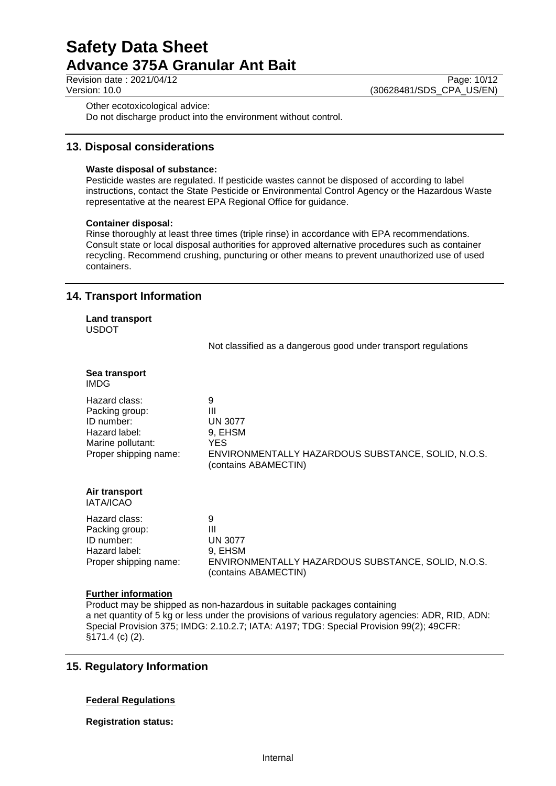Revision date : 2021/04/12 Page: 10/12<br>Version: 10.0 (30628481/SDS CPA US/EN) (30628481/SDS\_CPA\_US/EN)

Other ecotoxicological advice:

Do not discharge product into the environment without control.

## **13. Disposal considerations**

### **Waste disposal of substance:**

Pesticide wastes are regulated. If pesticide wastes cannot be disposed of according to label instructions, contact the State Pesticide or Environmental Control Agency or the Hazardous Waste representative at the nearest EPA Regional Office for guidance.

#### **Container disposal:**

Rinse thoroughly at least three times (triple rinse) in accordance with EPA recommendations. Consult state or local disposal authorities for approved alternative procedures such as container recycling. Recommend crushing, puncturing or other means to prevent unauthorized use of used containers.

## **14. Transport Information**

**Land transport** USDOT

Not classified as a dangerous good under transport regulations

| Sea transport<br><b>IMDG</b>                                                                                 |                                                                                                                           |
|--------------------------------------------------------------------------------------------------------------|---------------------------------------------------------------------------------------------------------------------------|
| Hazard class:<br>Packing group:<br>ID number:<br>Hazard label:<br>Marine pollutant:<br>Proper shipping name: | 9<br>Ш<br><b>UN 3077</b><br>9, EHSM<br>YES.<br>ENVIRONMENTALLY HAZARDOUS SUBSTANCE, SOLID, N.O.S.<br>(contains ABAMECTIN) |
| Air transport<br><b>IATA/ICAO</b>                                                                            |                                                                                                                           |
| Hazard class:<br>Packing group:<br>ID number:<br>Hazard label:<br>Proper shipping name:                      | 9<br>Ш<br><b>UN 3077</b><br>9, EHSM<br>ENVIRONMENTALLY HAZARDOUS SUBSTANCE, SOLID, N.O.S.<br>(contains ABAMECTIN)         |

## **Further information**

Product may be shipped as non-hazardous in suitable packages containing a net quantity of 5 kg or less under the provisions of various regulatory agencies: ADR, RID, ADN: Special Provision 375; IMDG: 2.10.2.7; IATA: A197; TDG: Special Provision 99(2); 49CFR: §171.4 (c) (2).

## **15. Regulatory Information**

## **Federal Regulations**

**Registration status:**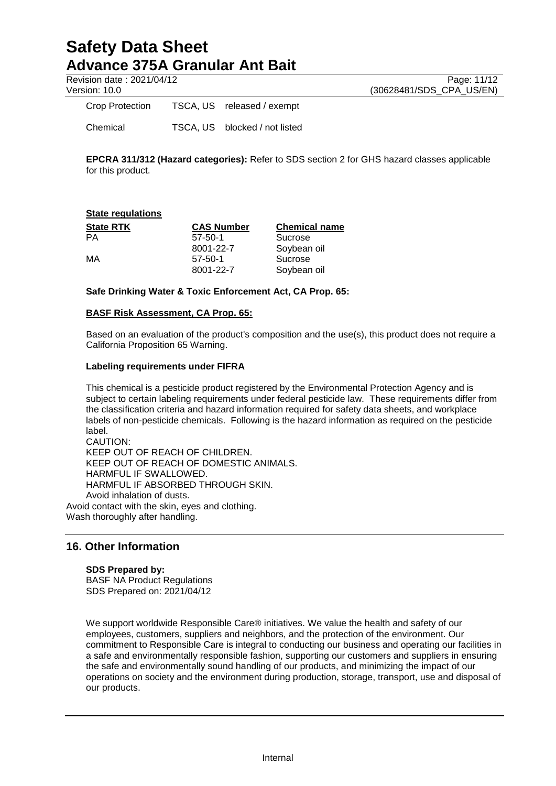Revision date : 2021/04/12 Page: 11/12<br>Version: 10.0 (30628481/SDS CPA US/EN)

(30628481/SDS\_CPA\_US/EN)

Crop Protection TSCA, US released / exempt Chemical TSCA, US blocked / not listed

**EPCRA 311/312 (Hazard categories):** Refer to SDS section 2 for GHS hazard classes applicable for this product.

| <b>State regulations</b> |                   |                      |
|--------------------------|-------------------|----------------------|
| <b>State RTK</b>         | <b>CAS Number</b> | <b>Chemical name</b> |
| <b>PA</b>                | $57 - 50 - 1$     | Sucrose              |
|                          | 8001-22-7         | Soybean oil          |
| МA                       | $57 - 50 - 1$     | Sucrose              |
|                          | 8001-22-7         | Soybean oil          |

**Safe Drinking Water & Toxic Enforcement Act, CA Prop. 65:**

## **BASF Risk Assessment, CA Prop. 65:**

Based on an evaluation of the product's composition and the use(s), this product does not require a California Proposition 65 Warning.

#### **Labeling requirements under FIFRA**

This chemical is a pesticide product registered by the Environmental Protection Agency and is subject to certain labeling requirements under federal pesticide law. These requirements differ from the classification criteria and hazard information required for safety data sheets, and workplace labels of non-pesticide chemicals. Following is the hazard information as required on the pesticide label.

CAUTION: KEEP OUT OF REACH OF CHILDREN. KEEP OUT OF REACH OF DOMESTIC ANIMALS. HARMFUL IF SWALLOWED. HARMFUL IF ABSORBED THROUGH SKIN. Avoid inhalation of dusts. Avoid contact with the skin, eyes and clothing. Wash thoroughly after handling.

**16. Other Information**

#### **SDS Prepared by:**

BASF NA Product Regulations SDS Prepared on: 2021/04/12

We support worldwide Responsible Care® initiatives. We value the health and safety of our employees, customers, suppliers and neighbors, and the protection of the environment. Our commitment to Responsible Care is integral to conducting our business and operating our facilities in a safe and environmentally responsible fashion, supporting our customers and suppliers in ensuring the safe and environmentally sound handling of our products, and minimizing the impact of our operations on society and the environment during production, storage, transport, use and disposal of our products.